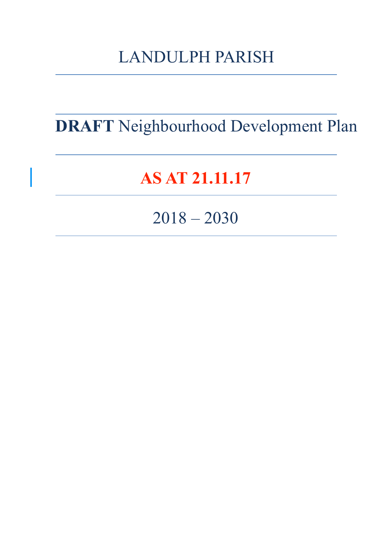# LANDULPH PARISH

**DRAFT** Neighbourhood Development Plan

# **AS AT 21.11.17**

2018 – 2030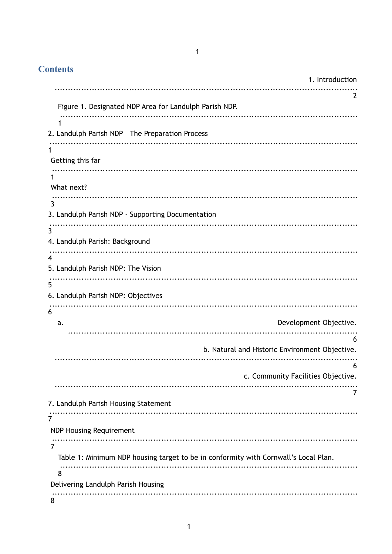# $\overline{1}$

| <b>Contents</b>                                   |                                                                                     |
|---------------------------------------------------|-------------------------------------------------------------------------------------|
|                                                   | 1. Introduction                                                                     |
|                                                   | 2                                                                                   |
|                                                   | Figure 1. Designated NDP Area for Landulph Parish NDP.                              |
| 1                                                 |                                                                                     |
| 2. Landulph Parish NDP - The Preparation Process  |                                                                                     |
|                                                   |                                                                                     |
| Getting this far                                  |                                                                                     |
| 1                                                 |                                                                                     |
| What next?                                        |                                                                                     |
| 3                                                 |                                                                                     |
| 3. Landulph Parish NDP - Supporting Documentation |                                                                                     |
| 3                                                 |                                                                                     |
| 4. Landulph Parish: Background                    |                                                                                     |
| 4                                                 |                                                                                     |
| 5. Landulph Parish NDP: The Vision                |                                                                                     |
| 5                                                 |                                                                                     |
| 6. Landulph Parish NDP: Objectives                |                                                                                     |
| 6                                                 |                                                                                     |
| a.                                                | Development Objective.                                                              |
|                                                   |                                                                                     |
|                                                   | 6<br>b. Natural and Historic Environment Objective.                                 |
|                                                   |                                                                                     |
|                                                   | 6<br>c. Community Facilities Objective.                                             |
|                                                   |                                                                                     |
|                                                   | 7                                                                                   |
| 7. Landulph Parish Housing Statement              |                                                                                     |
| 7                                                 |                                                                                     |
| <b>NDP Housing Requirement</b>                    |                                                                                     |
| 7                                                 |                                                                                     |
|                                                   | Table 1: Minimum NDP housing target to be in conformity with Cornwall's Local Plan. |
| 8                                                 |                                                                                     |
| Delivering Landulph Parish Housing                |                                                                                     |
| 8                                                 |                                                                                     |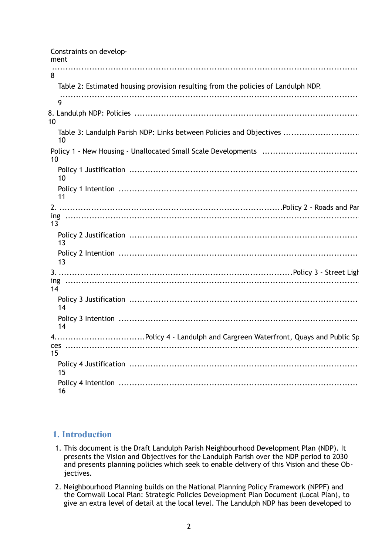| Constraints on develop-<br>ment                                                   |
|-----------------------------------------------------------------------------------|
| 8                                                                                 |
| Table 2: Estimated housing provision resulting from the policies of Landulph NDP. |
| 9                                                                                 |
| 10                                                                                |
| Table 3: Landulph Parish NDP: Links between Policies and Objectives<br>10         |
| 10                                                                                |
| 10                                                                                |
| 11                                                                                |
| 13                                                                                |
| 13                                                                                |
| 13                                                                                |
|                                                                                   |
| 14                                                                                |
| 14                                                                                |
| 14                                                                                |
|                                                                                   |
| ces<br>15                                                                         |
| 15                                                                                |
| 16                                                                                |

## **1. Introduction**

- 1. This document is the Draft Landulph Parish Neighbourhood Development Plan (NDP). It presents the Vision and Objectives for the Landulph Parish over the NDP period to 2030 and presents planning policies which seek to enable delivery of this Vision and these Objectives.
- 2. Neighbourhood Planning builds on the National Planning Policy Framework (NPPF) and the Cornwall Local Plan: Strategic Policies Development Plan Document (Local Plan), to give an extra level of detail at the local level. The Landulph NDP has been developed to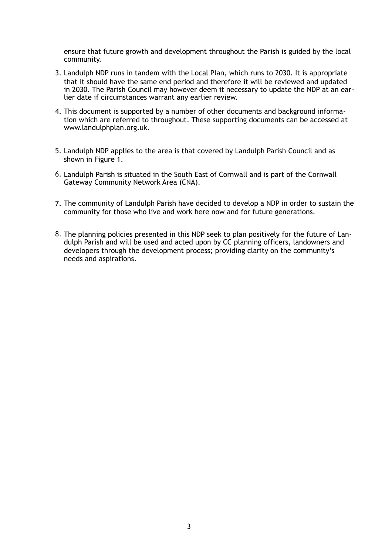ensure that future growth and development throughout the Parish is guided by the local community.

- 3. Landulph NDP runs in tandem with the Local Plan, which runs to 2030. It is appropriate that it should have the same end period and therefore it will be reviewed and updated in 2030. The Parish Council may however deem it necessary to update the NDP at an earlier date if circumstances warrant any earlier review.
- 4. This document is supported by a number of other documents and background information which are referred to throughout. These supporting documents can be accessed at www.landulphplan.org.uk.
- 5. Landulph NDP applies to the area is that covered by Landulph Parish Council and as shown in Figure 1.
- 6. Landulph Parish is situated in the South East of Cornwall and is part of the Cornwall Gateway Community Network Area (CNA).
- 7. The community of Landulph Parish have decided to develop a NDP in order to sustain the community for those who live and work here now and for future generations.
- 8. The planning policies presented in this NDP seek to plan positively for the future of Landulph Parish and will be used and acted upon by CC planning officers, landowners and developers through the development process; providing clarity on the community's needs and aspirations.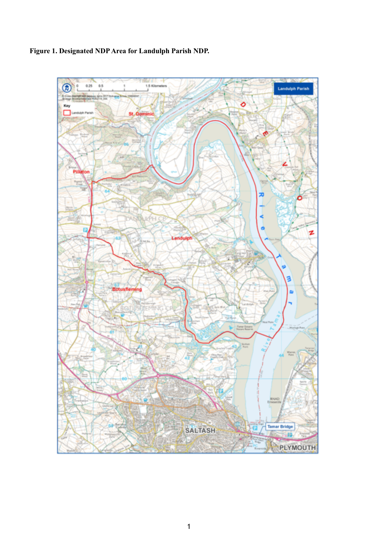

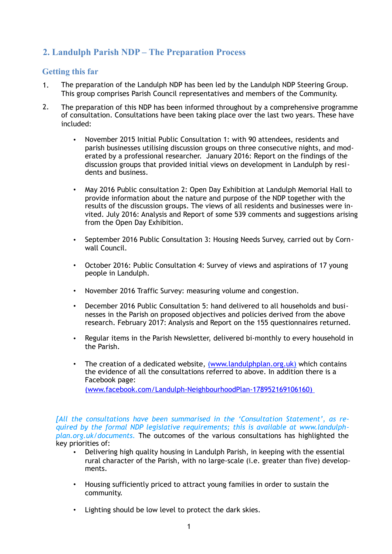# **2. Landulph Parish NDP – The Preparation Process**

## **Getting this far**

- 1. The preparation of the Landulph NDP has been led by the Landulph NDP Steering Group. This group comprises Parish Council representatives and members of the Community.
- 2. The preparation of this NDP has been informed throughout by a comprehensive programme of consultation. Consultations have been taking place over the last two years. These have included:
	- November 2015 Initial Public Consultation 1: with 90 attendees, residents and parish businesses utilising discussion groups on three consecutive nights, and moderated by a professional researcher. January 2016: Report on the findings of the discussion groups that provided initial views on development in Landulph by residents and business.
	- May 2016 Public consultation 2: Open Day Exhibition at Landulph Memorial Hall to provide information about the nature and purpose of the NDP together with the results of the discussion groups. The views of all residents and businesses were invited. July 2016: Analysis and Report of some 539 comments and suggestions arising from the Open Day Exhibition.
	- September 2016 Public Consultation 3: Housing Needs Survey, carried out by Cornwall Council.
	- October 2016: Public Consultation 4: Survey of views and aspirations of 17 young people in Landulph.
	- November 2016 Traffic Survey: measuring volume and congestion.
	- December 2016 Public Consultation 5: hand delivered to all households and businesses in the Parish on proposed objectives and policies derived from the above research. February 2017: Analysis and Report on the 155 questionnaires returned.
	- Regular items in the Parish Newsletter, delivered bi-monthly to every household in the Parish.
	- The creation of a dedicated website, ([www.landulphplan.org.uk\)](http://www.landulphplan.org.uk) which contains the evidence of all the consultations referred to above. In addition there is a [Facebook page:](http://www.facebook.com/Landulph-Neighbourhood-Plan-178952169106160)) [\(www.facebook.com/Landulph-NeighbourhoodPlan-178952169106160\)](http://www.apple.com)

*[All the consultations have been summarised in the 'Consultation Statement', as required by the formal NDP legislative requirements; this is available at www.landulph-*

*plan.org.uk/documents.* The outcomes of the various consultations has highlighted the key priorities of:

- Delivering high quality housing in Landulph Parish, in keeping with the essential rural character of the Parish, with no large-scale (i.e. greater than five) developments.
- Housing sufficiently priced to attract young families in order to sustain the community.
- Lighting should be low level to protect the dark skies.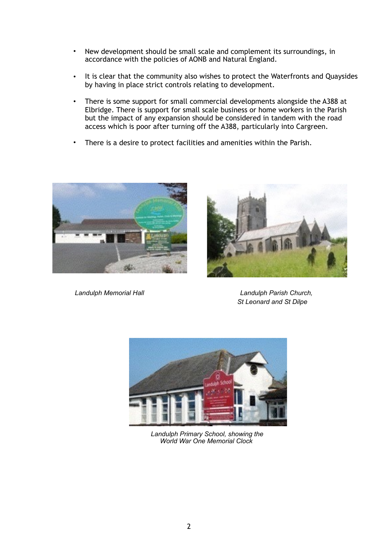- New development should be small scale and complement its surroundings, in accordance with the policies of AONB and Natural England.
- It is clear that the community also wishes to protect the Waterfronts and Quaysides by having in place strict controls relating to development.
- There is some support for small commercial developments alongside the A388 at Elbridge. There is support for small scale business or home workers in the Parish but the impact of any expansion should be considered in tandem with the road access which is poor after turning off the A388, particularly into Cargreen.
- There is a desire to protect facilities and amenities within the Parish.



*Landulph Memorial Hall Landulph Parish Church,* 



*St Leonard and St Dilpe*



*Landulph Primary School, showing the World War One Memorial Clock*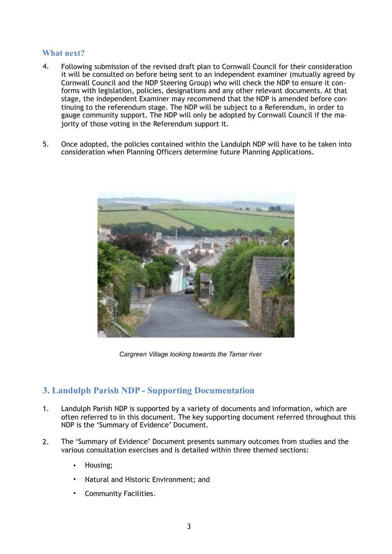## **What next?**

- 4. Following submission of the revised draft plan to Cornwall Council for their consideration it will be consulted on before being sent to an independent examiner (mutually agreed by Cornwall Council and the NDP Steering Group) who will check the NDP to ensure it conforms with legislation, policies, designations and any other relevant documents. At that stage, the independent Examiner may recommend that the NDP is amended before continuing to the referendum stage. The NDP will be subject to a Referendum, in order to gauge community support. The NDP will only be adopted by Cornwall Council if the majority of those voting in the Referendum support it.
- 5. Once adopted, the policies contained within the Landulph NDP will have to be taken into consideration when Planning Officers determine future Planning Applications.



*Cargreen Village looking towards the Tamar river*

## **3. Landulph Parish NDP - Supporting Documentation**

- 1. Landulph Parish NDP is supported by a variety of documents and information, which are often referred to in this document. The key supporting document referred throughout this NDP is the 'Summary of Evidence' Document.
- 2. The 'Summary of Evidence' Document presents summary outcomes from studies and the various consultation exercises and is detailed within three themed sections:
	- Housing;
	- Natural and Historic Environment; and
	- Community Facilities.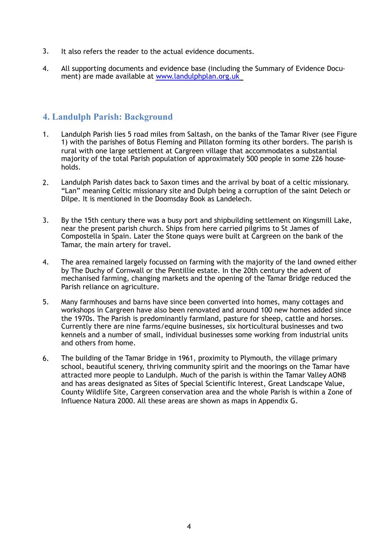- 3. It also refers the reader to the actual evidence documents.
- 4. All supporting documents and evidence base (including the Summary of Evidence Document) are made available at [www.landulphplan.org.uk](http://www.landulphplan.org.uk/)

## **4. Landulph Parish: Background**

- 1. Landulph Parish lies 5 road miles from Saltash, on the banks of the Tamar River (see Figure 1) with the parishes of Botus Fleming and Pillaton forming its other borders. The parish is rural with one large settlement at Cargreen village that accommodates a substantial majority of the total Parish population of approximately 500 people in some 226 households.
- 2. Landulph Parish dates back to Saxon times and the arrival by boat of a celtic missionary. "Lan" meaning Celtic missionary site and Dulph being a corruption of the saint Delech or Dilpe. It is mentioned in the Doomsday Book as Landelech.
- 3. By the 15th century there was a busy port and shipbuilding settlement on Kingsmill Lake, near the present parish church. Ships from here carried pilgrims to St James of Compostella in Spain. Later the Stone quays were built at Cargreen on the bank of the Tamar, the main artery for travel.
- 4. The area remained largely focussed on farming with the majority of the land owned either by The Duchy of Cornwall or the Pentillie estate. In the 20th century the advent of mechanised farming, changing markets and the opening of the Tamar Bridge reduced the Parish reliance on agriculture.
- 5. Many farmhouses and barns have since been converted into homes, many cottages and workshops in Cargreen have also been renovated and around 100 new homes added since the 1970s. The Parish is predominantly farmland, pasture for sheep, cattle and horses. Currently there are nine farms/equine businesses, six horticultural businesses and two kennels and a number of small, individual businesses some working from industrial units and others from home.
- 6. The building of the Tamar Bridge in 1961, proximity to Plymouth, the village primary school, beautiful scenery, thriving community spirit and the moorings on the Tamar have attracted more people to Landulph. Much of the parish is within the Tamar Valley AONB and has areas designated as Sites of Special Scientific Interest, Great Landscape Value, County Wildlife Site, Cargreen conservation area and the whole Parish is within a Zone of Influence Natura 2000. All these areas are shown as maps in Appendix G.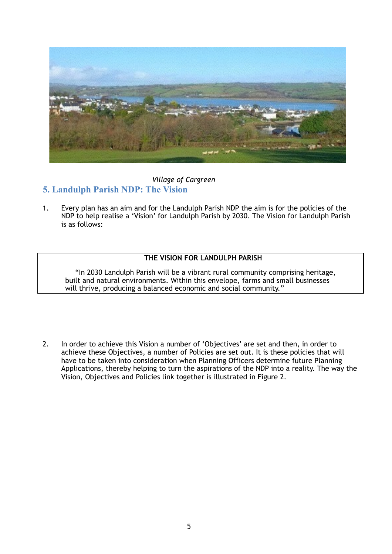

#### *Village of Cargreen*

## **5. Landulph Parish NDP: The Vision**

1. Every plan has an aim and for the Landulph Parish NDP the aim is for the policies of the NDP to help realise a 'Vision' for Landulph Parish by 2030. The Vision for Landulph Parish is as follows:

#### **THE VISION FOR LANDULPH PARISH**

"In 2030 Landulph Parish will be a vibrant rural community comprising heritage, built and natural environments. Within this envelope, farms and small businesses will thrive, producing a balanced economic and social community."

2. In order to achieve this Vision a number of 'Objectives' are set and then, in order to achieve these Objectives, a number of Policies are set out. It is these policies that will have to be taken into consideration when Planning Officers determine future Planning Applications, thereby helping to turn the aspirations of the NDP into a reality. The way the Vision, Objectives and Policies link together is illustrated in Figure 2.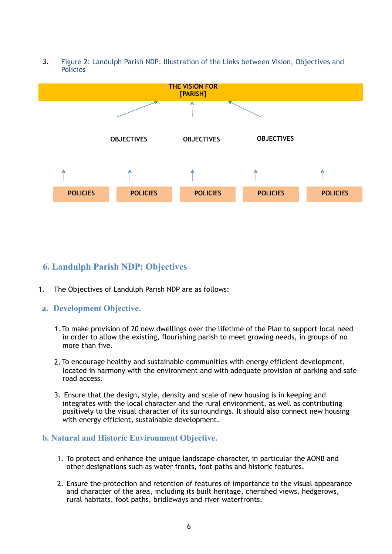3. Figure 2: Landulph Parish NDP: Illustration of the Links between Vision, Objectives and **Policies** 



# **6. Landulph Parish NDP: Objectives**

1. The Objectives of Landulph Parish NDP are as follows:

## **a. Development Objective.**

- 1. To make provision of 20 new dwellings over the lifetime of the Plan to support local need in order to allow the existing, flourishing parish to meet growing needs, in groups of no more than five.
- 2. To encourage healthy and sustainable communities with energy efficient development, located in harmony with the environment and with adequate provision of parking and safe road access.
- 3. Ensure that the design, style, density and scale of new housing is in keeping and integrates with the local character and the rural environment, as well as contributing positively to the visual character of its surroundings. It should also connect new housing with energy efficient, sustainable development.

## **b. Natural and Historic Environment Objective.**

- 1. To protect and enhance the unique landscape character, in particular the AONB and other designations such as water fronts, foot paths and historic features.
- 2. Ensure the protection and retention of features of importance to the visual appearance and character of the area, including its built heritage, cherished views, hedgerows, rural habitats, foot paths, bridleways and river waterfronts.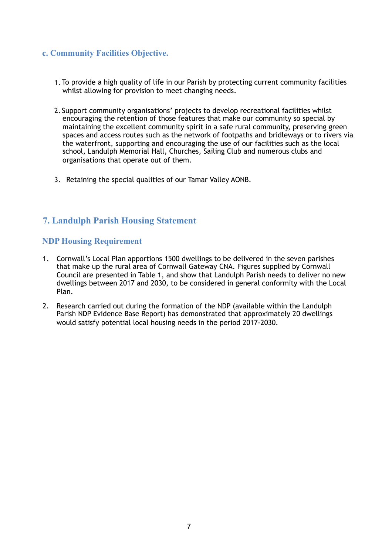## **c. Community Facilities Objective.**

- 1. To provide a high quality of life in our Parish by protecting current community facilities whilst allowing for provision to meet changing needs.
- 2. Support community organisations' projects to develop recreational facilities whilst encouraging the retention of those features that make our community so special by maintaining the excellent community spirit in a safe rural community, preserving green spaces and access routes such as the network of footpaths and bridleways or to rivers via the waterfront, supporting and encouraging the use of our facilities such as the local school, Landulph Memorial Hall, Churches, Sailing Club and numerous clubs and organisations that operate out of them.
- 3. Retaining the special qualities of our Tamar Valley AONB.

## **7. Landulph Parish Housing Statement**

## **NDP Housing Requirement**

- 1. Cornwall's Local Plan apportions 1500 dwellings to be delivered in the seven parishes that make up the rural area of Cornwall Gateway CNA. Figures supplied by Cornwall Council are presented in Table 1, and show that Landulph Parish needs to deliver no new dwellings between 2017 and 2030, to be considered in general conformity with the Local Plan.
- 2. Research carried out during the formation of the NDP (available within the Landulph Parish NDP Evidence Base Report) has demonstrated that approximately 20 dwellings would satisfy potential local housing needs in the period 2017-2030.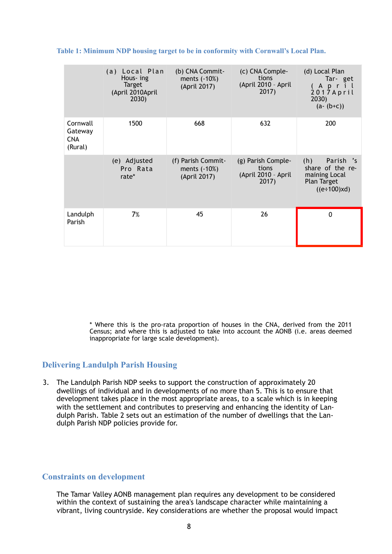|                                              | (a) Local Plan<br>Hous- ing<br>Target<br>(April 2010April<br>2030) | (b) CNA Commit-<br>ments (-10%)<br>(April 2017)    | (c) CNA Comple-<br>tions<br>(April 2010 - April<br>2017)    | (d) Local Plan<br>Tar-get<br>April<br>2017April<br>2030)<br>$(a - (b + c))$                       |
|----------------------------------------------|--------------------------------------------------------------------|----------------------------------------------------|-------------------------------------------------------------|---------------------------------------------------------------------------------------------------|
| Cornwall<br>Gateway<br><b>CNA</b><br>(Rural) | 1500                                                               | 668                                                | 632                                                         | 200                                                                                               |
|                                              | (e) Adjusted<br>Pro Rata<br>rate*                                  | (f) Parish Commit-<br>ments (-10%)<br>(April 2017) | (g) Parish Comple-<br>tions<br>(April 2010 - April<br>2017) | (h)<br>Parish 's<br>share of the re-<br>maining Local<br><b>Plan Target</b><br>$((e \div 100)xd)$ |
| Landulph<br>Parish                           | 7%                                                                 | 45                                                 | 26                                                          | $\Omega$                                                                                          |

#### **Table 1: Minimum NDP housing target to be in conformity with Cornwall's Local Plan.**

\* Where this is the pro-rata proportion of houses in the CNA, derived from the 2011 Census; and where this is adjusted to take into account the AONB (i.e. areas deemed inappropriate for large scale development).

## **Delivering Landulph Parish Housing**

3. The Landulph Parish NDP seeks to support the construction of approximately 20 dwellings of individual and in developments of no more than 5. This is to ensure that development takes place in the most appropriate areas, to a scale which is in keeping with the settlement and contributes to preserving and enhancing the identity of Landulph Parish. Table 2 sets out an estimation of the number of dwellings that the Landulph Parish NDP policies provide for.

#### **Constraints on development**

 The Tamar Valley AONB management plan requires any development to be considered within the context of sustaining the area's landscape character while maintaining a vibrant, living countryside. Key considerations are whether the proposal would impact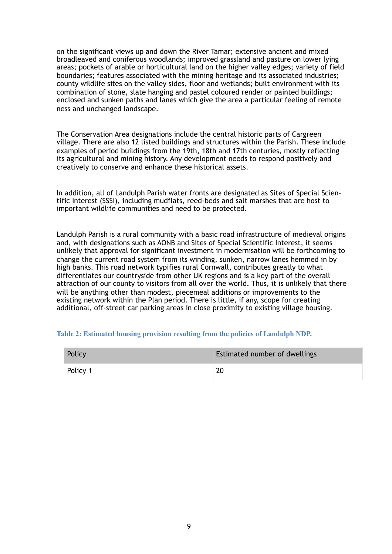on the significant views up and down the River Tamar; extensive ancient and mixed broadleaved and coniferous woodlands; improved grassland and pasture on lower lying areas; pockets of arable or horticultural land on the higher valley edges; variety of field boundaries; features associated with the mining heritage and its associated industries; county wildlife sites on the valley sides, floor and wetlands; built environment with its combination of stone, slate hanging and pastel coloured render or painted buildings; enclosed and sunken paths and lanes which give the area a particular feeling of remote ness and unchanged landscape.

 The Conservation Area designations include the central historic parts of Cargreen village. There are also 12 listed buildings and structures within the Parish. These include examples of period buildings from the 19th, 18th and 17th centuries, mostly reflecting its agricultural and mining history. Any development needs to respond positively and creatively to conserve and enhance these historical assets.

 In addition, all of Landulph Parish water fronts are designated as Sites of Special Scientific Interest (SSSI), including mudflats, reed-beds and salt marshes that are host to important wildlife communities and need to be protected.

 Landulph Parish is a rural community with a basic road infrastructure of medieval origins and, with designations such as AONB and Sites of Special Scientific Interest, it seems unlikely that approval for significant investment in modernisation will be forthcoming to change the current road system from its winding, sunken, narrow lanes hemmed in by high banks. This road network typifies rural Cornwall, contributes greatly to what differentiates our countryside from other UK regions and is a key part of the overall attraction of our county to visitors from all over the world. Thus, it is unlikely that there will be anything other than modest, piecemeal additions or improvements to the existing network within the Plan period. There is little, if any, scope for creating additional, off-street car parking areas in close proximity to existing village housing.

#### **Table 2: Estimated housing provision resulting from the policies of Landulph NDP.**

| Policy   | Estimated number of dwellings |
|----------|-------------------------------|
| Policy 1 | 20                            |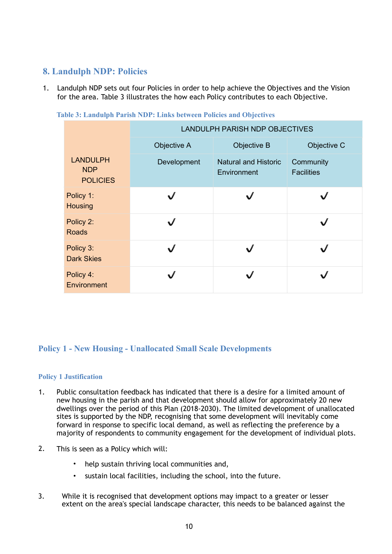# **8. Landulph NDP: Policies**

1. Landulph NDP sets out four Policies in order to help achieve the Objectives and the Vision for the area. Table 3 illustrates the how each Policy contributes to each Objective.

|                                                  | <b>LANDULPH PARISH NDP OBJECTIVES</b> |                                            |                                |  |  |
|--------------------------------------------------|---------------------------------------|--------------------------------------------|--------------------------------|--|--|
|                                                  | Objective A                           | Objective B                                | Objective C                    |  |  |
| <b>LANDULPH</b><br><b>NDP</b><br><b>POLICIES</b> | Development                           | <b>Natural and Historic</b><br>Environment | Community<br><b>Facilities</b> |  |  |
| Policy 1:<br>Housing                             | $\sqrt{}$                             |                                            |                                |  |  |
| Policy 2:<br><b>Roads</b>                        |                                       |                                            |                                |  |  |
| Policy 3:<br><b>Dark Skies</b>                   |                                       |                                            |                                |  |  |
| Policy 4:<br>Environment                         |                                       |                                            |                                |  |  |

**Table 3: Landulph Parish NDP: Links between Policies and Objectives** 

## **Policy 1 - New Housing - Unallocated Small Scale Developments**

#### **Policy 1 Justification**

- 1. Public consultation feedback has indicated that there is a desire for a limited amount of new housing in the parish and that development should allow for approximately 20 new dwellings over the period of this Plan (2018-2030). The limited development of unallocated sites is supported by the NDP, recognising that some development will inevitably come forward in response to specific local demand, as well as reflecting the preference by a majority of respondents to community engagement for the development of individual plots.
- 2. This is seen as a Policy which will:
	- help sustain thriving local communities and,
	- sustain local facilities, including the school, into the future.
- 3. While it is recognised that development options may impact to a greater or lesser extent on the area's special landscape character, this needs to be balanced against the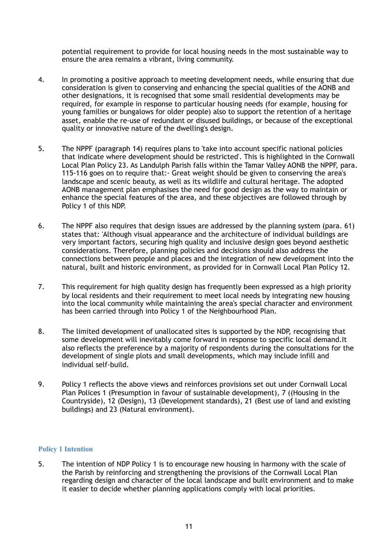potential requirement to provide for local housing needs in the most sustainable way to ensure the area remains a vibrant, living community.

- 4. In promoting a positive approach to meeting development needs, while ensuring that due consideration is given to conserving and enhancing the special qualities of the AONB and other designations, it is recognised that some small residential developments may be required, for example in response to particular housing needs (for example, housing for young families or bungalows for older people) also to support the retention of a heritage asset, enable the re-use of redundant or disused buildings, or because of the exceptional quality or innovative nature of the dwelling's design.
- 5. The NPPF (paragraph 14) requires plans to 'take into account specific national policies that indicate where development should be restricted'. This is highlighted in the Cornwall Local Plan Policy 23. As Landulph Parish falls within the Tamar Valley AONB the NPPF, para. 115-116 goes on to require that:- Great weight should be given to conserving the area's landscape and scenic beauty, as well as its wildlife and cultural heritage. The adopted AONB management plan emphasises the need for good design as the way to maintain or enhance the special features of the area, and these objectives are followed through by Policy 1 of this NDP.
- 6. The NPPF also requires that design issues are addressed by the planning system (para. 61) states that: 'Although visual appearance and the architecture of individual buildings are very important factors, securing high quality and inclusive design goes beyond aesthetic considerations. Therefore, planning policies and decisions should also address the connections between people and places and the integration of new development into the natural, built and historic environment, as provided for in Cornwall Local Plan Policy 12.
- 7. This requirement for high quality design has frequently been expressed as a high priority by local residents and their requirement to meet local needs by integrating new housing into the local community while maintaining the area's special character and environment has been carried through into Policy 1 of the Neighbourhood Plan.
- 8. The limited development of unallocated sites is supported by the NDP, recognising that some development will inevitably come forward in response to specific local demand.It also reflects the preference by a majority of respondents during the consultations for the development of single plots and small developments, which may include infill and individual self-build.
- 9. Policy 1 reflects the above views and reinforces provisions set out under Cornwall Local Plan Polices 1 (Presumption in favour of sustainable development), 7 ((Housing in the Countryside), 12 (Design), 13 (Development standards), 21 (Best use of land and existing buildings) and 23 (Natural environment).

#### **Policy 1 Intention**

5. The intention of NDP Policy 1 is to encourage new housing in harmony with the scale of the Parish by reinforcing and strengthening the provisions of the Cornwall Local Plan regarding design and character of the local landscape and built environment and to make it easier to decide whether planning applications comply with local priorities.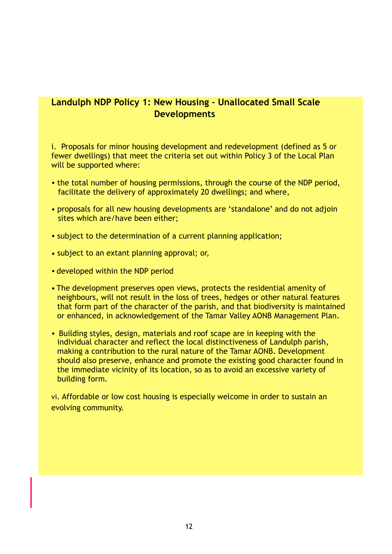# **Landulph NDP Policy 1: New Housing - Unallocated Small Scale Developments**

i. Proposals for minor housing development and redevelopment (defined as 5 or fewer dwellings) that meet the criteria set out within Policy 3 of the Local Plan will be supported where:

- the total number of housing permissions, through the course of the NDP period, facilitate the delivery of approximately 20 dwellings; and where,
- proposals for all new housing developments are 'standalone' and do not adjoin sites which are/have been either;
- subject to the determination of a current planning application;
- subject to an extant planning approval; or,
- developed within the NDP period
- The development preserves open views, protects the residential amenity of neighbours, will not result in the loss of trees, hedges or other natural features that form part of the character of the parish, and that biodiversity is maintained or enhanced, in acknowledgement of the Tamar Valley AONB Management Plan.
- Building styles, design, materials and roof scape are in keeping with the individual character and reflect the local distinctiveness of Landulph parish, making a contribution to the rural nature of the Tamar AONB. Development should also preserve, enhance and promote the existing good character found in the immediate vicinity of its location, so as to avoid an excessive variety of building form.

vi. Affordable or low cost housing is especially welcome in order to sustain an evolving community.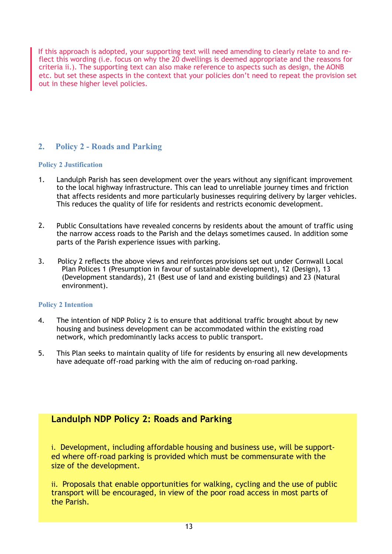If this approach is adopted, your supporting text will need amending to clearly relate to and reflect this wording (i.e. focus on why the 20 dwellings is deemed appropriate and the reasons for criteria ii.). The supporting text can also make reference to aspects such as design, the AONB etc. but set these aspects in the context that your policies don't need to repeat the provision set out in these higher level policies.

## **2. Policy 2 - Roads and Parking**

#### **Policy 2 Justification**

- 1. Landulph Parish has seen development over the years without any significant improvement to the local highway infrastructure. This can lead to unreliable journey times and friction that affects residents and more particularly businesses requiring delivery by larger vehicles. This reduces the quality of life for residents and restricts economic development.
- 2. Public Consultations have revealed concerns by residents about the amount of traffic using the narrow access roads to the Parish and the delays sometimes caused. In addition some parts of the Parish experience issues with parking.
- 3. Policy 2 reflects the above views and reinforces provisions set out under Cornwall Local Plan Polices 1 (Presumption in favour of sustainable development), 12 (Design), 13 (Development standards), 21 (Best use of land and existing buildings) and 23 (Natural environment).

#### **Policy 2 Intention**

- 4. The intention of NDP Policy 2 is to ensure that additional traffic brought about by new housing and business development can be accommodated within the existing road network, which predominantly lacks access to public transport.
- 5. This Plan seeks to maintain quality of life for residents by ensuring all new developments have adequate off-road parking with the aim of reducing on-road parking.

## **Landulph NDP Policy 2: Roads and Parking**

i. Development, including affordable housing and business use, will be supported where off-road parking is provided which must be commensurate with the size of the development.

ii. Proposals that enable opportunities for walking, cycling and the use of public transport will be encouraged, in view of the poor road access in most parts of the Parish.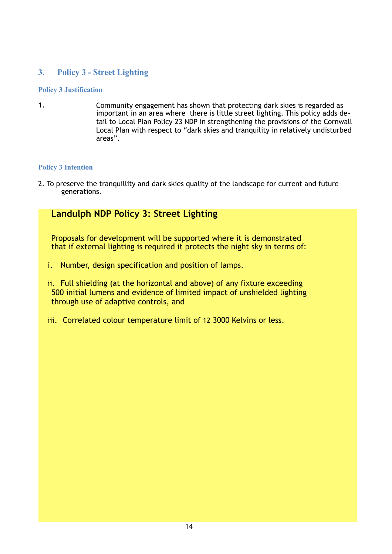## **3. Policy 3 - Street Lighting**

#### **Policy 3 Justification**

1. Community engagement has shown that protecting dark skies is regarded as important in an area where there is little street lighting. This policy adds detail to Local Plan Policy 23 NDP in strengthening the provisions of the Cornwall Local Plan with respect to "dark skies and tranquility in relatively undisturbed areas".

#### **Policy 3 Intention**

2. To preserve the tranquillity and dark skies quality of the landscape for current and future generations.

# **Landulph NDP Policy 3: Street Lighting**

Proposals for development will be supported where it is demonstrated that if external lighting is required it protects the night sky in terms of:

- i. Number, design specification and position of lamps.
- ii. Full shielding (at the horizontal and above) of any fixture exceeding 500 initial lumens and evidence of limited impact of unshielded lighting through use of adaptive controls, and
- iii. Correlated colour temperature limit of 12 3000 Kelvins or less.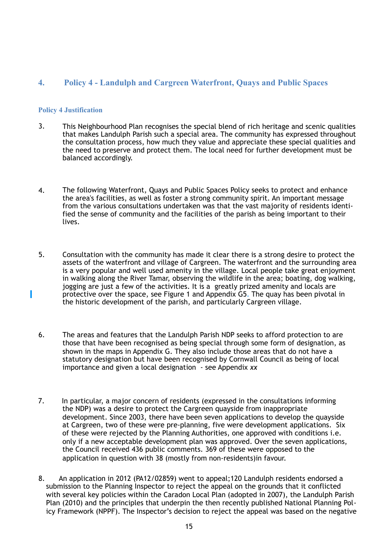## **4. Policy 4 - Landulph and Cargreen Waterfront, Quays and Public Spaces**

#### **Policy 4 Justification**

- 3. This Neighbourhood Plan recognises the special blend of rich heritage and scenic qualities that makes Landulph Parish such a special area. The community has expressed throughout the consultation process, how much they value and appreciate these special qualities and the need to preserve and protect them. The local need for further development must be balanced accordingly.
- 4. The following Waterfront, Quays and Public Spaces Policy seeks to protect and enhance the area's facilities, as well as foster a strong community spirit. An important message from the various consultations undertaken was that the vast majority of residents identified the sense of community and the facilities of the parish as being important to their lives.
- 5. Consultation with the community has made it clear there is a strong desire to protect the assets of the waterfront and village of Cargreen. The waterfront and the surrounding area is a very popular and well used amenity in the village. Local people take great enjoyment in walking along the River Tamar, observing the wildlife in the area; boating, dog walking, jogging are just a few of the activities. It is a greatly prized amenity and locals are protective over the space, see Figure 1 and Appendix G5. The quay has been pivotal in the historic development of the parish, and particularly Cargreen village.
- 6. The areas and features that the Landulph Parish NDP seeks to afford protection to are those that have been recognised as being special through some form of designation, as shown in the maps in Appendix G. They also include those areas that do not have a statutory designation but have been recognised by Cornwall Council as being of local importance and given a local designation - see Appendix *xx*
- 7. In particular, a major concern of residents (expressed in the consultations informing the NDP) was a desire to protect the Cargreen quayside from inappropriate development. Since 2003, there have been seven applications to develop the quayside at Cargreen, two of these were pre-planning, five were development applications. Six of these were rejected by the Planning Authorities, one approved with conditions i.e. only if a new acceptable development plan was approved. Over the seven applications, the Council received 436 public comments. 369 of these were opposed to the application in question with 38 (mostly from non-residents)in favour.
- 8. An application in 2012 (PA12/02859) went to appeal;120 Landulph residents endorsed a submission to the Planning Inspector to reject the appeal on the grounds that it conflicted with several key policies within the Caradon Local Plan (adopted in 2007), the Landulph Parish Plan (2010) and the principles that underpin the then recently published National Planning Policy Framework (NPPF). The Inspector's decision to reject the appeal was based on the negative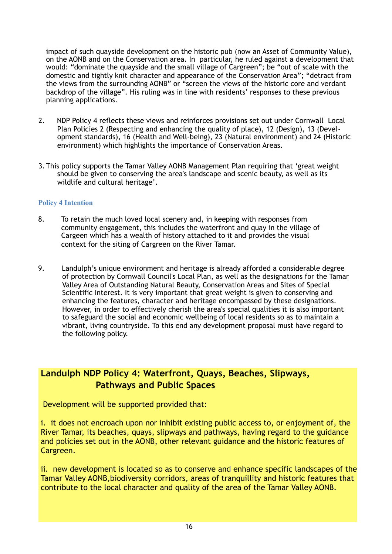impact of such quayside development on the historic pub (now an Asset of Community Value), on the AONB and on the Conservation area. In particular, he ruled against a development that would: "dominate the quayside and the small village of Cargreen"; be "out of scale with the domestic and tightly knit character and appearance of the Conservation Area"; "detract from the views from the surrounding AONB" or "screen the views of the historic core and verdant backdrop of the village". His ruling was in line with residents' responses to these previous planning applications.

- 2. NDP Policy 4 reflects these views and reinforces provisions set out under Cornwall Local Plan Policies 2 (Respecting and enhancing the quality of place), 12 (Design), 13 (Development standards), 16 (Health and Well-being), 23 (Natural environment) and 24 (Historic environment) which highlights the importance of Conservation Areas.
- 3. This policy supports the Tamar Valley AONB Management Plan requiring that 'great weight should be given to conserving the area's landscape and scenic beauty, as well as its wildlife and cultural heritage'.

#### **Policy 4 Intention**

- 8. To retain the much loved local scenery and, in keeping with responses from community engagement, this includes the waterfront and quay in the village of Cargeen which has a wealth of history attached to it and provides the visual context for the siting of Cargreen on the River Tamar.
- 9. Landulph's unique environment and heritage is already afforded a considerable degree of protection by Cornwall Council's Local Plan, as well as the designations for the Tamar Valley Area of Outstanding Natural Beauty, Conservation Areas and Sites of Special Scientific Interest. It is very important that great weight is given to conserving and enhancing the features, character and heritage encompassed by these designations. However, in order to effectively cherish the area's special qualities it is also important to safeguard the social and economic wellbeing of local residents so as to maintain a vibrant, living countryside. To this end any development proposal must have regard to the following policy.

# **Landulph NDP Policy 4: Waterfront, Quays, Beaches, Slipways, Pathways and Public Spaces**

Development will be supported provided that:

i. it does not encroach upon nor inhibit existing public access to, or enjoyment of, the River Tamar, its beaches, quays, slipways and pathways, having regard to the guidance and policies set out in the AONB, other relevant guidance and the historic features of Cargreen.

ii. new development is located so as to conserve and enhance specific landscapes of the Tamar Valley AONB,biodiversity corridors, areas of tranquillity and historic features that contribute to the local character and quality of the area of the Tamar Valley AONB.